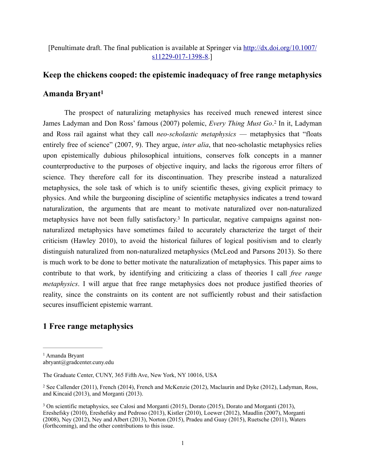[Penultimate draft. The final public[ation is available at Springer via http://dx.doi.org/10.1007/](http://dx.doi.org/10.1007/s11229-017-1398-8) s11229-017-1398-8.]

# **Keep the chickens cooped: the epistemic inadequacy of free range metaphysics**

## <span id="page-0-3"></span>**Amanda Bryant[1](#page-0-0)**

<span id="page-0-4"></span> The prospect of naturalizing metaphysics has received much renewed interest since JamesLadyman and Don Ross' famous ([2](#page-0-1)007) polemic, *Every Thing Must Go.*<sup>2</sup> In it, Ladyman and Ross rail against what they call *neo-scholastic metaphysics* — metaphysics that "floats entirely free of science" (2007, 9). They argue, *inter alia*, that neo-scholastic metaphysics relies upon epistemically dubious philosophical intuitions, conserves folk concepts in a manner counterproductive to the purposes of objective inquiry, and lacks the rigorous error filters of science. They therefore call for its discontinuation. They prescribe instead a naturalized metaphysics, the sole task of which is to unify scientific theses, giving explicit primacy to physics. And while the burgeoning discipline of scientific metaphysics indicates a trend toward naturalization, the arguments that are meant to motivate naturalized over non-naturalized metaphysics have not been fully satisfactory[.](#page-0-2)<sup>3</sup> In particular, negative campaigns against nonnaturalized metaphysics have sometimes failed to accurately characterize the target of their criticism (Hawley 2010), to avoid the historical failures of logical positivism and to clearly distinguish naturalized from non-naturalized metaphysics (McLeod and Parsons 2013). So there is much work to be done to better motivate the naturalization of metaphysics. This paper aims to contribute to that work, by identifying and criticizing a class of theories I call *free range metaphysics*. I will argue that free range metaphysics does not produce justified theories of reality, since the constraints on its content are not sufficiently robust and their satisfaction secures insufficient epistemic warrant.

## <span id="page-0-5"></span>**1 Free range metaphysics**

<span id="page-0-0"></span><sup>&</sup>lt;sup>[1](#page-0-3)</sup> Amanda Brvant abryant@gradcenter.cuny.edu

The Graduate Center, CUNY, 365 Fifth Ave, New York, NY 10016, USA

<span id="page-0-1"></span><sup>&</sup>lt;sup>[2](#page-0-4)</sup> See Callender (2011), French (2014), French and McKenzie (2012), Maclaurin and Dyke (2012), Ladyman, Ross, and Kincaid (2013), and Morganti (2013).

<span id="page-0-2"></span><sup>&</sup>lt;sup>[3](#page-0-5)</sup> On scientific metaphysics, see Calosi and Morganti (2015), Dorato (2015), Dorato and Morganti (2013), Ereshefsky (2010), Ereshefsky and Pedroso (2013), Kistler (2010), Loewer (2012), Maudlin (2007), Morganti (2008), Ney (2012), Ney and Albert (2013), Norton (2015), Pradeu and Guay (2015), Ruetsche (2011), Waters (forthcoming), and the other contributions to this issue.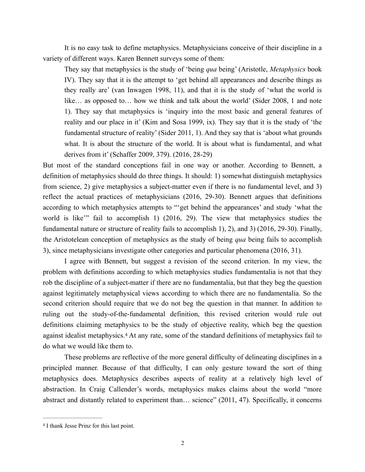It is no easy task to define metaphysics. Metaphysicians conceive of their discipline in a variety of different ways. Karen Bennett surveys some of them:

They say that metaphysics is the study of 'being *qua* being' (Aristotle, *Metaphysics* book IV). They say that it is the attempt to 'get behind all appearances and describe things as they really are' (van Inwagen 1998, 11), and that it is the study of 'what the world is like… as opposed to… how we think and talk about the world' (Sider 2008, 1 and note 1). They say that metaphysics is 'inquiry into the most basic and general features of reality and our place in it' (Kim and Sosa 1999, ix). They say that it is the study of 'the fundamental structure of reality' (Sider 2011, 1). And they say that is 'about what grounds what. It is about the structure of the world. It is about what is fundamental, and what derives from it' (Schaffer 2009, 379). (2016, 28-29)

But most of the standard conceptions fail in one way or another. According to Bennett, a definition of metaphysics should do three things. It should: 1) somewhat distinguish metaphysics from science, 2) give metaphysics a subject-matter even if there is no fundamental level, and 3) reflect the actual practices of metaphysicians (2016, 29-30). Bennett argues that definitions according to which metaphysics attempts to "'get behind the appearances' and study 'what the world is like'" fail to accomplish 1) (2016, 29). The view that metaphysics studies the fundamental nature or structure of reality fails to accomplish 1), 2), and 3) (2016, 29-30). Finally, the Aristotelean conception of metaphysics as the study of being *qua* being fails to accomplish 3), since metaphysicians investigate other categories and particular phenomena (2016, 31).

 I agree with Bennett, but suggest a revision of the second criterion. In my view, the problem with definitions according to which metaphysics studies fundamentalia is not that they rob the discipline of a subject-matter if there are no fundamentalia, but that they beg the question against legitimately metaphysical views according to which there are no fundamentalia. So the second criterion should require that we do not beg the question in that manner. In addition to ruling out the study-of-the-fundamental definition, this revised criterion would rule out definitions claiming metaphysics to be the study of objective reality, which beg the question againstidealist metaphysics.<sup>[4](#page-1-0)</sup> At any rate, some of the standard definitions of metaphysics fail to do what we would like them to.

<span id="page-1-1"></span>These problems are reflective of the more general difficulty of delineating disciplines in a principled manner. Because of that difficulty, I can only gesture toward the sort of thing metaphysics does. Metaphysics describes aspects of reality at a relatively high level of abstraction. In Craig Callender's words, metaphysics makes claims about the world "more abstract and distantly related to experiment than… science" (2011, 47). Specifically, it concerns

<span id="page-1-0"></span><sup>&</sup>lt;sup>[4](#page-1-1)</sup> I thank Jesse Prinz for this last point.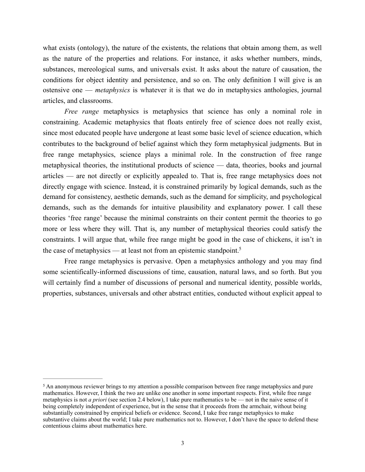what exists (ontology), the nature of the existents, the relations that obtain among them, as well as the nature of the properties and relations. For instance, it asks whether numbers, minds, substances, mereological sums, and universals exist. It asks about the nature of causation, the conditions for object identity and persistence, and so on. The only definition I will give is an ostensive one — *metaphysics* is whatever it is that we do in metaphysics anthologies, journal articles, and classrooms.

*Free range* metaphysics is metaphysics that science has only a nominal role in constraining. Academic metaphysics that floats entirely free of science does not really exist, since most educated people have undergone at least some basic level of science education, which contributes to the background of belief against which they form metaphysical judgments. But in free range metaphysics, science plays a minimal role. In the construction of free range metaphysical theories, the institutional products of science — data, theories, books and journal articles — are not directly or explicitly appealed to. That is, free range metaphysics does not directly engage with science. Instead, it is constrained primarily by logical demands, such as the demand for consistency, aesthetic demands, such as the demand for simplicity, and psychological demands, such as the demands for intuitive plausibility and explanatory power. I call these theories 'free range' because the minimal constraints on their content permit the theories to go more or less where they will. That is, any number of metaphysical theories could satisfy the constraints. I will argue that, while free range might be good in the case of chickens, it isn't in the case of metaphysics — at least not from an epistemic standpoint.<sup>5</sup>

<span id="page-2-1"></span> Free range metaphysics is pervasive. Open a metaphysics anthology and you may find some scientifically-informed discussions of time, causation, natural laws, and so forth. But you will certainly find a number of discussions of personal and numerical identity, possible worlds, properties, substances, universals and other abstract entities, conducted without explicit appeal to

<span id="page-2-0"></span><sup>&</sup>lt;sup>[5](#page-2-1)</sup> An anonymous reviewer brings to my attention a possible comparison between free range metaphysics and pure mathematics. However, I think the two are unlike one another in some important respects. First, while free range metaphysics is not *a priori* (see section 2.4 below), I take pure mathematics to be — not in the naive sense of it being completely independent of experience, but in the sense that it proceeds from the armchair, without being substantially constrained by empirical beliefs or evidence. Second, I take free range metaphysics to make substantive claims about the world; I take pure mathematics not to. However, I don't have the space to defend these contentious claims about mathematics here.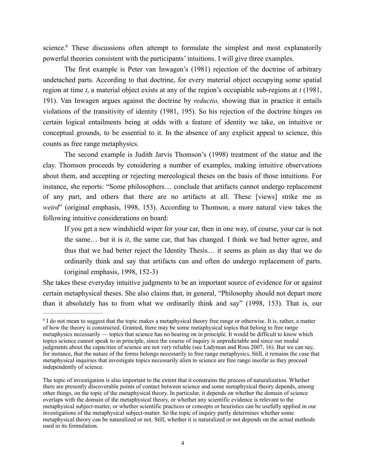<span id="page-3-1"></span>science[.](#page-3-0)<sup>[6](#page-3-0)</sup> These discussions often attempt to formulate the simplest and most explanatorily powerful theories consistent with the participants' intuitions. I will give three examples.

 The first example is Peter van Inwagen's (1981) rejection of the doctrine of arbitrary undetached parts. According to that doctrine, for every material object occupying some spatial region at time *t*, a material object exists at any of the region's occupiable sub-regions at *t* (1981, 191). Van Inwagen argues against the doctrine by *reductio,* showing that in practice it entails violations of the transitivity of identity (1981, 195). So his rejection of the doctrine hinges on certain logical entailments being at odds with a feature of identity we take, on intuitive or conceptual grounds, to be essential to it. In the absence of any explicit appeal to science, this counts as free range metaphysics.

 The second example is Judith Jarvis Thomson's (1998) treatment of the statue and the clay. Thomson proceeds by considering a number of examples, making intuitive observations about them, and accepting or rejecting mereological theses on the basis of those intuitions. For instance, she reports: "Some philosophers… conclude that artifacts cannot undergo replacement of any part, and others that there are no artifacts at all. These [views] strike me as *weird*" (original emphasis, 1998, 153). According to Thomson, a more natural view takes the following intuitive considerations on board:

If you get a new windshield wiper for your car, then in one way, of course, your car is not the same… but it is *it*, the same car, that has changed. I think we had better agree, and thus that we had better reject the Identity Thesis… it seems as plain as day that we do ordinarily think and say that artifacts can and often do undergo replacement of parts. (original emphasis, 1998, 152-3)

She takes these everyday intuitive judgments to be an important source of evidence for or against certain metaphysical theses. She also claims that, in general, "Philosophy should not depart more than it absolutely has to from what we ordinarily think and say" (1998, 153). That is, our

<span id="page-3-0"></span> $6$  I do not mean to suggest that the topic makes a metaphysical theory free range or otherwise. It is, rather, a matter of how the theory is constructed. Granted, there may be some metaphysical topics that belong to free range metaphysics necessarily — topics that science has no bearing on in principle. It would be difficult to know which topics science cannot speak to in principle, since the course of inquiry is unpredictable and since our modal judgments about the capacities of science are not very reliable (see Ladyman and Ross 2007, 16). But we can say, for instance, that the nature of the forms belongs necessarily to free range metaphysics. Still, it remains the case that metaphysical inquiries that investigate topics necessarily alien to science are free range insofar as they proceed independently of science.

The topic of investigation is also important to the extent that it constrains the process of naturalization. Whether there are presently discoverable points of contact between science and some metaphysical theory depends, among other things, on the topic of the metaphysical theory. In particular, it depends on whether the domain of science overlaps with the domain of the metaphysical theory, or whether any scientific evidence is relevant to the metaphysical subject-matter, or whether scientific practices or concepts or heuristics can be usefully applied in our investigations of the metaphysical subject-matter. So the topic of inquiry partly determines whether some metaphysical theory can be naturalized or not. Still, whether it is naturalized or not depends on the actual methods used in its formulation.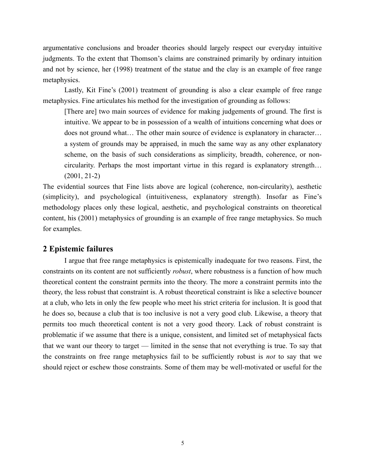argumentative conclusions and broader theories should largely respect our everyday intuitive judgments. To the extent that Thomson's claims are constrained primarily by ordinary intuition and not by science, her (1998) treatment of the statue and the clay is an example of free range metaphysics.

 Lastly, Kit Fine's (2001) treatment of grounding is also a clear example of free range metaphysics. Fine articulates his method for the investigation of grounding as follows:

[There are] two main sources of evidence for making judgements of ground. The first is intuitive. We appear to be in possession of a wealth of intuitions concerning what does or does not ground what… The other main source of evidence is explanatory in character… a system of grounds may be appraised, in much the same way as any other explanatory scheme, on the basis of such considerations as simplicity, breadth, coherence, or noncircularity. Perhaps the most important virtue in this regard is explanatory strength… (2001, 21-2)

The evidential sources that Fine lists above are logical (coherence, non-circularity), aesthetic (simplicity), and psychological (intuitiveness, explanatory strength). Insofar as Fine's methodology places only these logical, aesthetic, and psychological constraints on theoretical content, his (2001) metaphysics of grounding is an example of free range metaphysics. So much for examples.

### **2 Epistemic failures**

 I argue that free range metaphysics is epistemically inadequate for two reasons. First, the constraints on its content are not sufficiently *robust*, where robustness is a function of how much theoretical content the constraint permits into the theory. The more a constraint permits into the theory, the less robust that constraint is. A robust theoretical constraint is like a selective bouncer at a club, who lets in only the few people who meet his strict criteria for inclusion. It is good that he does so, because a club that is too inclusive is not a very good club. Likewise, a theory that permits too much theoretical content is not a very good theory. Lack of robust constraint is problematic if we assume that there is a unique, consistent, and limited set of metaphysical facts that we want our theory to target — limited in the sense that not everything is true. To say that the constraints on free range metaphysics fail to be sufficiently robust is *not* to say that we should reject or eschew those constraints. Some of them may be well-motivated or useful for the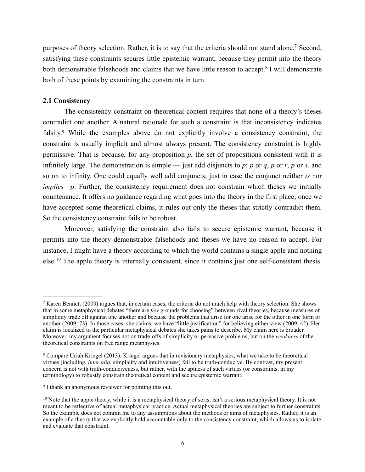<span id="page-5-5"></span><span id="page-5-4"></span>purposes of theory selection[.](#page-5-0) Rather, it is to say that the criteria should not stand alone.<sup>[7](#page-5-0)</sup> Second, satisfying these constraints secures little epistemic warrant, because they permit into the theory bothdemonstrable falsehoods and claims that we have little reason to accept.<sup>[8](#page-5-1)</sup> I will demonstrate both of these points by examining the constraints in turn.

#### **2.1 Consistency**

<span id="page-5-6"></span> The consistency constraint on theoretical content requires that none of a theory's theses contradict one another. A natural rationale for such a constraint is that inconsistency indicates falsity[.](#page-5-2)<sup>[9](#page-5-2)</sup> While the examples above do not explicitly involve a consistency constraint, the constraint is usually implicit and almost always present. The consistency constraint is highly permissive. That is because, for any proposition *p*, the set of propositions consistent with it is infinitely large. The demonstration is simple — just add disjuncts to *p*: *p* or *q*, *p* or *r*, *p* or *s*, and so on to infinity. One could equally well add conjuncts, just in case the conjunct neither *is* nor *implies*  $\neg p$ . Further, the consistency requirement does not constrain which theses we initially countenance. It offers no guidance regarding what goes into the theory in the first place; once we have accepted some theoretical claims, it rules out only the theses that strictly contradict them. So the consistency constraint fails to be robust.

<span id="page-5-7"></span> Moreover, satisfying the constraint also fails to secure epistemic warrant, because it permits into the theory demonstrable falsehoods and theses we have no reason to accept. For instance, I might have a theory according to which the world contains a single apple and nothing  $e$ lse.<sup>10</sup>The apple theory is internally consistent, since it contains just one self-consistent thesis.

<span id="page-5-0"></span><sup>&</sup>lt;sup>[7](#page-5-4)</sup> Karen Bennett (2009) argues that, in certain cases, the criteria do not much help with theory selection. She shows that in some metaphysical debates "there are *few* grounds for choosing" between rival theories, because measures of simplicity trade off against one another and because the problems that arise for one arise for the other in one form or another (2009, 73). In those cases, she claims, we have "little justification" for believing either view (2009, 42). Her claim is localized to the particular metaphysical debates she takes pains to describe. My claim here is broader. Moreover, my argument focuses not on trade-offs of simplicity or pervasive problems, but on the *weakness* of the theoretical constraints on free range metaphysics.

<span id="page-5-1"></span>Compare Uriah Kriegel (2013). Kriegel argues that in revisionary metaphysics, what we take to be theoretical [8](#page-5-5) virtues (including, *inter alia*, simplicity and intuitiveness) fail to be truth-conducive. By contrast, my present concern is not with truth-conduciveness, but rather, with the aptness of such virtues (or constraints, in my terminology) to robustly constrain theoretical content and secure epistemic warrant.

<span id="page-5-2"></span><sup>&</sup>lt;sup>[9](#page-5-6)</sup> I thank an anonymous reviewer for pointing this out.

<span id="page-5-3"></span> $10$ Note that the apple theory, while it is a metaphysical theory of sorts, isn't a serious metaphysical theory. It is not meant to be reflective of actual metaphysical practice. Actual metaphysical theories are subject to further constraints. So the example does not commit me to any assumptions about the methods or aims of metaphysics. Rather, it is an example of a theory that we explicitly hold accountable only to the consistency constraint, which allows us to isolate and evaluate that constraint.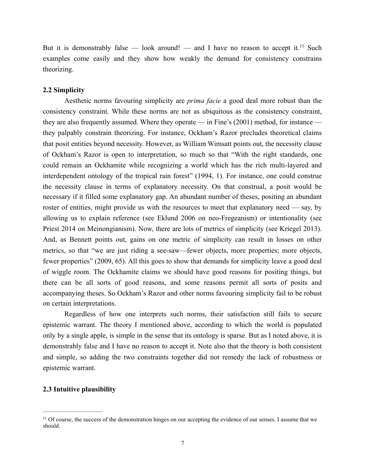<span id="page-6-1"></span>But it is demonstrably false — look around! — and I have no reason to accept it.<sup>[11](#page-6-0)</sup> Such examples come easily and they show how weakly the demand for consistency constrains theorizing.

#### **2.2 Simplicity**

 Aesthetic norms favouring simplicity are *prima facie* a good deal more robust than the consistency constraint. While these norms are not as ubiquitous as the consistency constraint, they are also frequently assumed. Where they operate — in Fine's (2001) method, for instance they palpably constrain theorizing. For instance, Ockham's Razor precludes theoretical claims that posit entities beyond necessity. However, as William Wimsatt points out, the necessity clause of Ockham's Razor is open to interpretation, so much so that "With the right standards, one could remain an Ockhamite while recognizing a world which has the rich multi-layered and interdependent ontology of the tropical rain forest" (1994, 1). For instance, one could construe the necessity clause in terms of explanatory necessity. On that construal, a posit would be necessary if it filled some explanatory gap. An abundant number of theses, positing an abundant roster of entities, might provide us with the resources to meet that explanatory need — say, by allowing us to explain reference (see Eklund 2006 on neo-Fregeanism) or intentionality (see Priest 2014 on Meinongianism). Now, there are lots of metrics of simplicity (see Kriegel 2013). And, as Bennett points out, gains on one metric of simplicity can result in losses on other metrics, so that "we are just riding a see-saw—fewer objects, more properties; more objects, fewer properties" (2009, 65). All this goes to show that demands for simplicity leave a good deal of wiggle room. The Ockhamite claims we should have good reasons for positing things, but there can be all sorts of good reasons, and some reasons permit all sorts of posits and accompanying theses. So Ockham's Razor and other norms favouring simplicity fail to be robust on certain interpretations.

 Regardless of how one interprets such norms, their satisfaction still fails to secure epistemic warrant. The theory I mentioned above, according to which the world is populated only by a single apple, is simple in the sense that its ontology is sparse. But as I noted above, it is demonstrably false and I have no reason to accept it. Note also that the theory is both consistent and simple, so adding the two constraints together did not remedy the lack of robustness or epistemic warrant.

#### **2.3 Intuitive plausibility**

<span id="page-6-0"></span><sup>&</sup>lt;sup>[11](#page-6-1)</sup> Of course, the success of the demonstration hinges on our accepting the evidence of our senses. I assume that we should.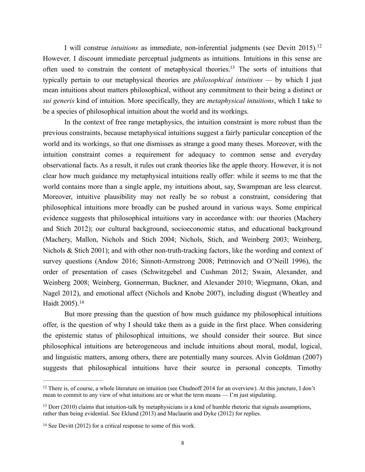<span id="page-7-4"></span><span id="page-7-3"></span>I will construe *intuitions* as immediate, non-inferential judgments (see Devitt 2015)*.* [12](#page-7-0) However*,* I discount immediate perceptual judgments as intuitions. Intuitions in this sense are often used to constrain the content of metaphysical theories[.](#page-7-1)<sup>[13](#page-7-1)</sup> The sorts of intuitions that typically pertain to our metaphysical theories are *philosophical intuitions —* by which I just mean intuitions about matters philosophical, without any commitment to their being a distinct or *sui generis* kind of intuition. More specifically, they are *metaphysical intuitions*, which I take to be a species of philosophical intuition about the world and its workings.

In the context of free range metaphysics, the intuition constraint is more robust than the previous constraints, because metaphysical intuitions suggest a fairly particular conception of the world and its workings, so that one dismisses as strange a good many theses. Moreover, with the intuition constraint comes a requirement for adequacy to common sense and everyday observational facts. As a result, it rules out crank theories like the apple theory. However, it is not clear how much guidance my metaphysical intuitions really offer: while it seems to me that the world contains more than a single apple, my intuitions about, say, Swampman are less clearcut. Moreover, intuitive plausibility may not really be so robust a constraint, considering that philosophical intuitions more broadly can be pushed around in various ways. Some empirical evidence suggests that philosophical intuitions vary in accordance with: our theories (Machery and Stich 2012); our cultural background, socioeconomic status, and educational background (Machery, Mallon, Nichols and Stich 2004; Nichols, Stich, and Weinberg 2003; Weinberg, Nichols & Stich 2001); and with other non-truth-tracking factors, like the wording and context of survey questions (Andow 2016; Sinnott-Armstrong 2008; Petrinovich and O'Neill 1996), the order of presentation of cases (Schwitzgebel and Cushman 2012; Swain, Alexander, and Weinberg 2008; Weinberg, Gonnerman, Buckner, and Alexander 2010; Wiegmann, Okan, and Nagel 2012), and emotional affect (Nichols and Knobe 2007), including disgust (Wheatley and Haidt 2005).[14](#page-7-2)

<span id="page-7-5"></span>But more pressing than the question of how much guidance my philosophical intuitions offer, is the question of why I should take them as a guide in the first place. When considering the epistemic status of philosophical intuitions, we should consider their source. But since philosophical intuitions are heterogeneous and include intuitions about moral, modal, logical, and linguistic matters, among others, there are potentially many sources. Alvin Goldman (2007) suggests that philosophical intuitions have their source in personal concepts. Timothy

<span id="page-7-0"></span> $12$ There is, of course, a whole literature on intuition (see Chudnoff 2014 for an overview). At this juncture, I don't mean to commit to any view of what intuitions are or what the term means — I'm just stipulating.

<span id="page-7-1"></span> $13$  Dorr (2010) claims that intuition-talk by metaphysicians is a kind of humble rhetoric that signals assumptions, rather than being evidential. See Eklund (2013) and Maclaurin and Dyke (2012) for replies.

<span id="page-7-2"></span> $14$  See Devitt (2012) for a critical response to some of this work.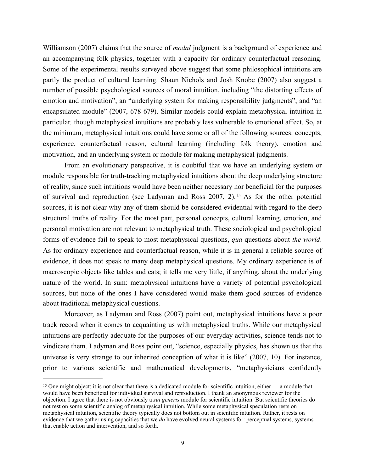Williamson (2007) claims that the source of *modal* judgment is a background of experience and an accompanying folk physics, together with a capacity for ordinary counterfactual reasoning. Some of the experimental results surveyed above suggest that some philosophical intuitions are partly the product of cultural learning. Shaun Nichols and Josh Knobe (2007) also suggest a number of possible psychological sources of moral intuition, including "the distorting effects of emotion and motivation", an "underlying system for making responsibility judgments", and "an encapsulated module" (2007, 678-679). Similar models could explain metaphysical intuition in particular*,* though metaphysical intuitions are probably less vulnerable to emotional affect. So, at the minimum, metaphysical intuitions could have some or all of the following sources: concepts, experience, counterfactual reason, cultural learning (including folk theory), emotion and motivation, and an underlying system or module for making metaphysical judgments.

<span id="page-8-1"></span>From an evolutionary perspective, it is doubtful that we have an underlying system or module responsible for truth-tracking metaphysical intuitions about the deep underlying structure of reality, since such intuitions would have been neither necessary nor beneficial for the purposes ofsurvival and reproduction (see Ladyman and Ross  $2007$ , 2).<sup>[15](#page-8-0)</sup> As for the other potential sources, it is not clear why any of them should be considered evidential with regard to the deep structural truths of reality. For the most part, personal concepts, cultural learning, emotion, and personal motivation are not relevant to metaphysical truth. These sociological and psychological forms of evidence fail to speak to most metaphysical questions, *qua* questions about *the world*. As for ordinary experience and counterfactual reason, while it is in general a reliable source of evidence, it does not speak to many deep metaphysical questions. My ordinary experience is of macroscopic objects like tables and cats; it tells me very little, if anything, about the underlying nature of the world. In sum: metaphysical intuitions have a variety of potential psychological sources, but none of the ones I have considered would make them good sources of evidence about traditional metaphysical questions.

Moreover, as Ladyman and Ross (2007) point out, metaphysical intuitions have a poor track record when it comes to acquainting us with metaphysical truths. While our metaphysical intuitions are perfectly adequate for the purposes of our everyday activities, science tends not to vindicate them. Ladyman and Ross point out, "science, especially physics, has shown us that the universe is very strange to our inherited conception of what it is like" (2007, 10). For instance, prior to various scientific and mathematical developments, "metaphysicians confidently

<span id="page-8-0"></span><sup>&</sup>lt;sup>15</sup>One might object: it is not clear that there is a dedicated module for scientific intuition, either — a module that would have been beneficial for individual survival and reproduction. I thank an anonymous reviewer for the objection. I agree that there is not obviously a *sui generis* module for scientific intuition. But scientific theories do not rest on some scientific analog of metaphysical intuition. While some metaphysical speculation rests on metaphysical intuition, scientific theory typically does not bottom out in scientific intuition. Rather, it rests on evidence that we gather using capacities that we *do* have evolved neural systems for: perceptual systems, systems that enable action and intervention, and so forth.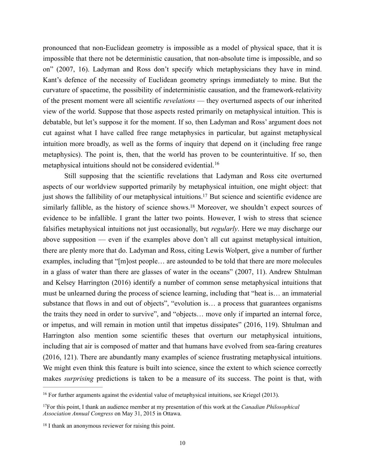pronounced that non-Euclidean geometry is impossible as a model of physical space, that it is impossible that there not be deterministic causation, that non-absolute time is impossible, and so on" (2007, 16). Ladyman and Ross don't specify which metaphysicians they have in mind. Kant's defence of the necessity of Euclidean geometry springs immediately to mine. But the curvature of spacetime, the possibility of indeterministic causation, and the framework-relativity of the present moment were all scientific *revelations* — they overturned aspects of our inherited view of the world. Suppose that those aspects rested primarily on metaphysical intuition. This is debatable, but let's suppose it for the moment. If so, then Ladyman and Ross' argument does not cut against what I have called free range metaphysics in particular, but against metaphysical intuition more broadly, as well as the forms of inquiry that depend on it (including free range metaphysics). The point is, then, that the world has proven to be counterintuitive. If so, then metaphysical intuitions should not be considered evidential.<sup>[16](#page-9-0)</sup>

<span id="page-9-5"></span><span id="page-9-4"></span><span id="page-9-3"></span>Still supposing that the scientific revelations that Ladyman and Ross cite overturned aspects of our worldview supported primarily by metaphysical intuition, one might object: that just shows the fallibility of our metaphysical intuitions[.](#page-9-1)<sup>[17](#page-9-1)</sup> But science and scientific evidence are similarly fallible, as the history of science shows[.](#page-9-2)<sup>[18](#page-9-2)</sup> Moreover, we shouldn't expect sources of evidence to be infallible. I grant the latter two points. However, I wish to stress that science falsifies metaphysical intuitions not just occasionally, but *regularly*. Here we may discharge our above supposition — even if the examples above don't all cut against metaphysical intuition, there are plenty more that do. Ladyman and Ross, citing Lewis Wolpert, give a number of further examples, including that "[m]ost people… are astounded to be told that there are more molecules in a glass of water than there are glasses of water in the oceans" (2007, 11). Andrew Shtulman and Kelsey Harrington (2016) identify a number of common sense metaphysical intuitions that must be unlearned during the process of science learning, including that "heat is… an immaterial substance that flows in and out of objects", "evolution is… a process that guarantees organisms the traits they need in order to survive", and "objects… move only if imparted an internal force, or impetus, and will remain in motion until that impetus dissipates" (2016, 119). Shtulman and Harrington also mention some scientific theses that overturn our metaphysical intuitions, including that air is composed of matter and that humans have evolved from sea-faring creatures (2016, 121). There are abundantly many examples of science frustrating metaphysical intuitions. We might even think this feature is built into science, since the extent to which science correctly makes *surprising* predictions is taken to be a measure of its success. The point is that, with

<span id="page-9-0"></span> $<sup>16</sup>$  $<sup>16</sup>$  $<sup>16</sup>$  For further arguments against the evidential value of metaphysical intuitions, see Kriegel (2013).</sup>

<span id="page-9-1"></span>For this point, I thank an audience member at my presentation of this work at the *Canadian Philosophical* [17](#page-9-4) *Association Annual Congress* on May 31, 2015 in Ottawa.

<span id="page-9-2"></span> $18$  I thank an anonymous reviewer for raising this point.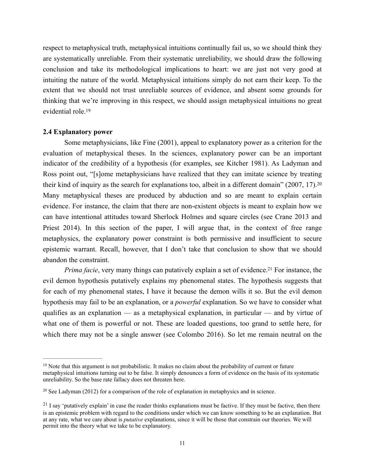respect to metaphysical truth, metaphysical intuitions continually fail us, so we should think they are systematically unreliable. From their systematic unreliability, we should draw the following conclusion and take its methodological implications to heart: we are just not very good at intuiting the nature of the world. Metaphysical intuitions simply do not earn their keep. To the extent that we should not trust unreliable sources of evidence, and absent some grounds for thinking that we're improving in this respect, we should assign metaphysical intuitions no great evidential role.<sup>19</sup>

#### <span id="page-10-3"></span>**2.4 Explanatory power**

<span id="page-10-4"></span> Some metaphysicians, like Fine (2001), appeal to explanatory power as a criterion for the evaluation of metaphysical theses. In the sciences, explanatory power can be an important indicator of the credibility of a hypothesis (for examples, see Kitcher 1981). As Ladyman and Ross point out, "[s]ome metaphysicians have realized that they can imitate science by treating their kind of inquiry as the search for explanations too, albeit in a different domain" (2007, 17).[20](#page-10-1) Many metaphysical theses are produced by abduction and so are meant to explain certain evidence. For instance, the claim that there are non-existent objects is meant to explain how we can have intentional attitudes toward Sherlock Holmes and square circles (see Crane 2013 and Priest 2014). In this section of the paper, I will argue that, in the context of free range metaphysics, the explanatory power constraint is both permissive and insufficient to secure epistemic warrant. Recall, however, that I don't take that conclusion to show that we should abandon the constraint.

<span id="page-10-5"></span>*Prima facie*, very many things can putatively explain a set of evidence[.](#page-10-2)<sup>[21](#page-10-2)</sup> For instance, the evil demon hypothesis putatively explains my phenomenal states. The hypothesis suggests that for each of my phenomenal states, I have it because the demon wills it so. But the evil demon hypothesis may fail to be an explanation, or a *powerful* explanation. So we have to consider what qualifies as an explanation — as a metaphysical explanation, in particular — and by virtue of what one of them is powerful or not. These are loaded questions, too grand to settle here, for which there may not be a single answer (see Colombo 2016). So let me remain neutral on the

<span id="page-10-0"></span><sup>&</sup>lt;sup>19</sup>Note that this argument is not probabilistic. It makes no claim about the probability of current or future metaphysical intuitions turning out to be false. It simply denounces a form of evidence on the basis of its systematic unreliability. So the base rate fallacy does not threaten here.

<span id="page-10-1"></span> $20$  See Ladyman (2012) for a comparison of the role of explanation in metaphysics and in science.

<span id="page-10-2"></span> $21$  I say 'putatively explain' in case the reader thinks explanations must be factive. If they must be factive, then there is an epistemic problem with regard to the conditions under which we can know something to be an explanation. But at any rate, what we care about is *putative* explanations, since it will be those that constrain our theories. We will permit into the theory what we take to be explanatory.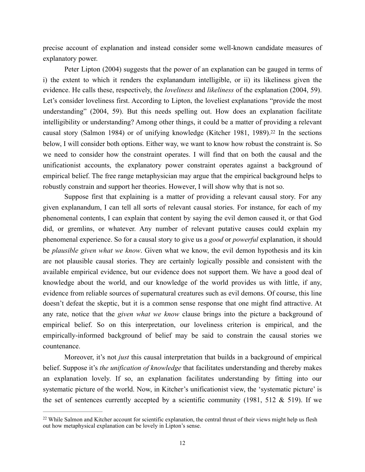precise account of explanation and instead consider some well-known candidate measures of explanatory power.

 Peter Lipton (2004) suggests that the power of an explanation can be gauged in terms of i) the extent to which it renders the explanandum intelligible, or ii) its likeliness given the evidence. He calls these, respectively, the *loveliness* and *likeliness* of the explanation (2004, 59). Let's consider loveliness first. According to Lipton, the loveliest explanations "provide the most understanding" (2004, 59). But this needs spelling out. How does an explanation facilitate intelligibility or understanding? Among other things, it could be a matter of providing a relevant causal story (Salmon 1984) or of unifying knowledge (Kitcher 1981, 1989)[.](#page-11-0)<sup>[22](#page-11-0)</sup> In the sections below, I will consider both options. Either way, we want to know how robust the constraint is. So we need to consider how the constraint operates. I will find that on both the causal and the unificationist accounts, the explanatory power constraint operates against a background of empirical belief. The free range metaphysician may argue that the empirical background helps to robustly constrain and support her theories. However, I will show why that is not so.

<span id="page-11-1"></span> Suppose first that explaining is a matter of providing a relevant causal story. For any given explanandum, I can tell all sorts of relevant causal stories. For instance, for each of my phenomenal contents, I can explain that content by saying the evil demon caused it, or that God did, or gremlins, or whatever. Any number of relevant putative causes could explain my phenomenal experience. So for a causal story to give us a *good* or *powerful* explanation, it should be *plausible given what we know*. Given what we know, the evil demon hypothesis and its kin are not plausible causal stories. They are certainly logically possible and consistent with the available empirical evidence, but our evidence does not support them. We have a good deal of knowledge about the world, and our knowledge of the world provides us with little, if any, evidence from reliable sources of supernatural creatures such as evil demons. Of course, this line doesn't defeat the skeptic, but it is a common sense response that one might find attractive. At any rate, notice that the *given what we know* clause brings into the picture a background of empirical belief. So on this interpretation, our loveliness criterion is empirical, and the empirically-informed background of belief may be said to constrain the causal stories we countenance.

 Moreover, it's not *just* this causal interpretation that builds in a background of empirical belief. Suppose it's *the unification of knowledge* that facilitates understanding and thereby makes an explanation lovely. If so, an explanation facilitates understanding by fitting into our systematic picture of the world. Now, in Kitcher's unificationist view, the 'systematic picture' is the set of sentences currently accepted by a scientific community (1981, 512  $&$  519). If we

<span id="page-11-0"></span><sup>&</sup>lt;sup>22</sup>While Salmon and Kitcher account for scientific explanation, the central thrust of their views might help us flesh out how metaphysical explanation can be lovely in Lipton's sense.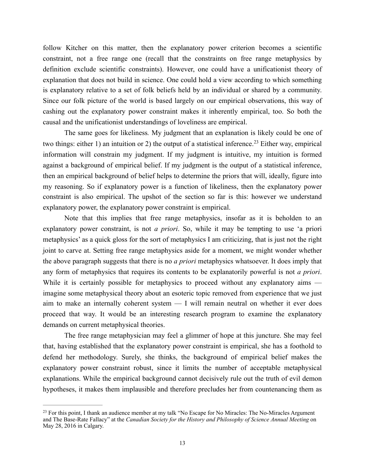follow Kitcher on this matter, then the explanatory power criterion becomes a scientific constraint, not a free range one (recall that the constraints on free range metaphysics by definition exclude scientific constraints). However, one could have a unificationist theory of explanation that does not build in science. One could hold a view according to which something is explanatory relative to a set of folk beliefs held by an individual or shared by a community. Since our folk picture of the world is based largely on our empirical observations, this way of cashing out the explanatory power constraint makes it inherently empirical, too. So both the causal and the unificationist understandings of loveliness are empirical.

<span id="page-12-1"></span> The same goes for likeliness*.* My judgment that an explanation is likely could be one of twothings: either 1) an intuition or 2) the output of a statistical inference.<sup>[23](#page-12-0)</sup> Either way, empirical information will constrain my judgment. If my judgment is intuitive, my intuition is formed against a background of empirical belief. If my judgment is the output of a statistical inference, then an empirical background of belief helps to determine the priors that will, ideally, figure into my reasoning. So if explanatory power is a function of likeliness, then the explanatory power constraint is also empirical. The upshot of the section so far is this: however we understand explanatory power, the explanatory power constraint is empirical.

 Note that this implies that free range metaphysics, insofar as it is beholden to an explanatory power constraint, is not *a priori*. So, while it may be tempting to use 'a priori metaphysics' as a quick gloss for the sort of metaphysics I am criticizing, that is just not the right joint to carve at. Setting free range metaphysics aside for a moment, we might wonder whether the above paragraph suggests that there is no *a priori* metaphysics whatsoever. It does imply that any form of metaphysics that requires its contents to be explanatorily powerful is not *a priori*. While it is certainly possible for metaphysics to proceed without any explanatory aims imagine some metaphysical theory about an esoteric topic removed from experience that we just aim to make an internally coherent system — I will remain neutral on whether it ever does proceed that way. It would be an interesting research program to examine the explanatory demands on current metaphysical theories.

 The free range metaphysician may feel a glimmer of hope at this juncture. She may feel that, having established that the explanatory power constraint is empirical, she has a foothold to defend her methodology. Surely, she thinks, the background of empirical belief makes the explanatory power constraint robust, since it limits the number of acceptable metaphysical explanations. While the empirical background cannot decisively rule out the truth of evil demon hypotheses, it makes them implausible and therefore precludes her from countenancing them as

<span id="page-12-0"></span><sup>&</sup>lt;sup>23</sup>For this point, I thank an audience member at my talk "No Escape for No Miracles: The No-Miracles Argument and The Base-Rate Fallacy" at the *Canadian Society for the History and Philosophy of Science Annual Meeting* on May 28, 2016 in Calgary.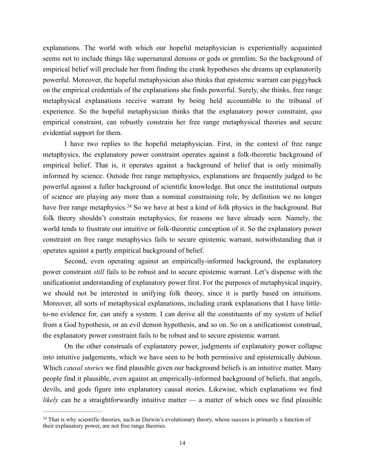explanations. The world with which our hopeful metaphysician is experientially acquainted seems not to include things like supernatural demons or gods or gremlins. So the background of empirical belief will preclude her from finding the crank hypotheses she dreams up explanatorily powerful. Moreover, the hopeful metaphysician also thinks that epistemic warrant can piggyback on the empirical credentials of the explanations she finds powerful. Surely, she thinks, free range metaphysical explanations receive warrant by being held accountable to the tribunal of experience. So the hopeful metaphysician thinks that the explanatory power constraint, *qua* empirical constraint, can robustly constrain her free range metaphysical theories and secure evidential support for them.

 I have two replies to the hopeful metaphysician. First, in the context of free range metaphysics, the explanatory power constraint operates against a folk-theoretic background of empirical belief. That is, it operates against a background of belief that is only minimally informed by science. Outside free range metaphysics, explanations are frequently judged to be powerful against a fuller background of scientific knowledge. But once the institutional outputs of science are playing any more than a nominal constraining role, by definition we no longer havefree range metaphysics.<sup>[24](#page-13-0)</sup> So we have at best a kind of folk physics in the background. But folk theory shouldn't constrain metaphysics, for reasons we have already seen. Namely, the world tends to frustrate our intuitive or folk-theoretic conception of it. So the explanatory power constraint on free range metaphysics fails to secure epistemic warrant, notwithstanding that it operates against a partly empirical background of belief.

<span id="page-13-1"></span> Second, even operating against an empirically-informed background, the explanatory power constraint *still* fails to be robust and to secure epistemic warrant. Let's dispense with the unificationist understanding of explanatory power first. For the purposes of metaphysical inquiry, we should not be interested in unifying folk theory, since it is partly based on intuitions. Moreover, all sorts of metaphysical explanations, including crank explanations that I have littleto-no evidence for, can unify a system. I can derive all the constituents of my system of belief from a God hypothesis, or an evil demon hypothesis, and so on. So on a unificationist construal, the explanatory power constraint fails to be robust and to secure epistemic warrant.

 On the other construals of explanatory power, judgments of explanatory power collapse into intuitive judgements, which we have seen to be both permissive and epistemically dubious. Which *causal stories* we find plausible given our background beliefs is an intuitive matter. Many people find it plausible, even against an empirically-informed background of beliefs, that angels, devils, and gods figure into explanatory causal stories. Likewise, which explanations we find *likely* can be a straightforwardly intuitive matter — a matter of which ones we find plausible

<span id="page-13-0"></span><sup>&</sup>lt;sup>24</sup>That is why scientific theories, such as Darwin's evolutionary theory, whose success is primarily a function of their explanatory power, are not free range theories.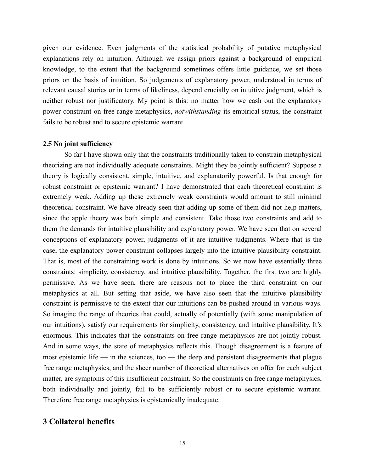given our evidence. Even judgments of the statistical probability of putative metaphysical explanations rely on intuition. Although we assign priors against a background of empirical knowledge, to the extent that the background sometimes offers little guidance, we set those priors on the basis of intuition. So judgements of explanatory power, understood in terms of relevant causal stories or in terms of likeliness, depend crucially on intuitive judgment, which is neither robust nor justificatory. My point is this: no matter how we cash out the explanatory power constraint on free range metaphysics, *notwithstanding* its empirical status, the constraint fails to be robust and to secure epistemic warrant.

#### **2.5 No joint sufficiency**

So far I have shown only that the constraints traditionally taken to constrain metaphysical theorizing are not individually adequate constraints. Might they be jointly sufficient? Suppose a theory is logically consistent, simple, intuitive, and explanatorily powerful. Is that enough for robust constraint or epistemic warrant? I have demonstrated that each theoretical constraint is extremely weak. Adding up these extremely weak constraints would amount to still minimal theoretical constraint. We have already seen that adding up some of them did not help matters, since the apple theory was both simple and consistent. Take those two constraints and add to them the demands for intuitive plausibility and explanatory power. We have seen that on several conceptions of explanatory power, judgments of it are intuitive judgments. Where that is the case, the explanatory power constraint collapses largely into the intuitive plausibility constraint. That is, most of the constraining work is done by intuitions. So we now have essentially three constraints: simplicity, consistency, and intuitive plausibility. Together, the first two are highly permissive. As we have seen, there are reasons not to place the third constraint on our metaphysics at all. But setting that aside, we have also seen that the intuitive plausibility constraint is permissive to the extent that our intuitions can be pushed around in various ways. So imagine the range of theories that could, actually of potentially (with some manipulation of our intuitions), satisfy our requirements for simplicity, consistency, and intuitive plausibility. It's enormous. This indicates that the constraints on free range metaphysics are not jointly robust. And in some ways, the state of metaphysics reflects this. Though disagreement is a feature of most epistemic life — in the sciences, too — the deep and persistent disagreements that plague free range metaphysics, and the sheer number of theoretical alternatives on offer for each subject matter, are symptoms of this insufficient constraint. So the constraints on free range metaphysics, both individually and jointly, fail to be sufficiently robust or to secure epistemic warrant. Therefore free range metaphysics is epistemically inadequate.

### **3 Collateral benefits**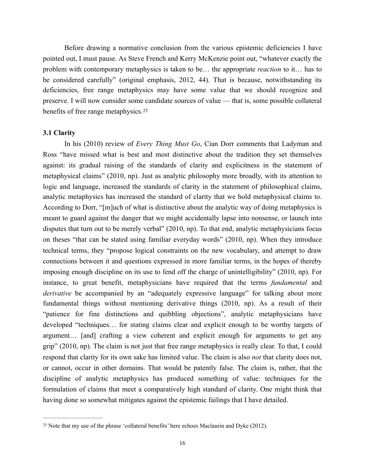Before drawing a normative conclusion from the various epistemic deficiencies I have pointed out, I must pause. As Steve French and Kerry McKenzie point out, "whatever exactly the problem with contemporary metaphysics is taken to be… the appropriate *reaction* to it… has to be considered carefully" (original emphasis, 2012, 44). That is because, notwithstanding its deficiencies, free range metaphysics may have some value that we should recognize and preserve. I will now consider some candidate sources of value — that is, some possible collateral benefits of free range metaphysics.<sup>[25](#page-15-0)</sup>

#### <span id="page-15-1"></span>**3.1 Clarity**

 In his (2010) review of *Every Thing Must Go*, Cian Dorr comments that Ladyman and Ross "have missed what is best and most distinctive about the tradition they set themselves against: its gradual raising of the standards of clarity and explicitness in the statement of metaphysical claims" (2010, np). Just as analytic philosophy more broadly, with its attention to logic and language, increased the standards of clarity in the statement of philosophical claims, analytic metaphysics has increased the standard of clarity that we hold metaphysical claims to. According to Dorr, "[m]uch of what is distinctive about the analytic way of doing metaphysics is meant to guard against the danger that we might accidentally lapse into nonsense, or launch into disputes that turn out to be merely verbal" (2010, np). To that end, analytic metaphysicians focus on theses "that can be stated using familiar everyday words" (2010, np). When they introduce technical terms, they "propose logical constraints on the new vocabulary, and attempt to draw connections between it and questions expressed in more familiar terms, in the hopes of thereby imposing enough discipline on its use to fend off the charge of unintelligibility" (2010, np). For instance, to great benefit, metaphysicians have required that the terms *fundamental* and *derivative* be accompanied by an "adequately expressive language" for talking about more fundamental things without mentioning derivative things (2010, np). As a result of their "patience for fine distinctions and quibbling objections", analytic metaphysicians have developed "techniques… for stating claims clear and explicit enough to be worthy targets of argument… [and] crafting a view coherent and explicit enough for arguments to get any grip" (2010, np). The claim is not just that free range metaphysics is really clear. To that, I could respond that clarity for its own sake has limited value. The claim is also *not* that clarity does not, or cannot, occur in other domains. That would be patently false. The claim is, rather, that the discipline of analytic metaphysics has produced something of value: techniques for the formulation of claims that meet a comparatively high standard of clarity. One might think that having done so somewhat mitigates against the epistemic failings that I have detailed.

<span id="page-15-0"></span><sup>&</sup>lt;sup>[25](#page-15-1)</sup> Note that my use of the phrase 'collateral benefits' here echoes Maclaurin and Dyke (2012).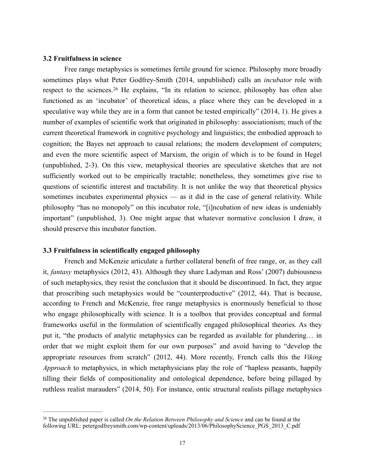#### **3.2 Fruitfulness in science**

<span id="page-16-1"></span> Free range metaphysics is sometimes fertile ground for science. Philosophy more broadly sometimes plays what Peter Godfrey-Smith (2014, unpublished) calls an *incubator* role with respectto the sciences.<sup>[26](#page-16-0)</sup> He explains, "In its relation to science, philosophy has often also functioned as an 'incubator' of theoretical ideas, a place where they can be developed in a speculative way while they are in a form that cannot be tested empirically" (2014, 1). He gives a number of examples of scientific work that originated in philosophy: associationism; much of the current theoretical framework in cognitive psychology and linguistics; the embodied approach to cognition; the Bayes net approach to causal relations; the modern development of computers; and even the more scientific aspect of Marxism, the origin of which is to be found in Hegel (unpublished, 2-3). On this view, metaphysical theories are speculative sketches that are not sufficiently worked out to be empirically tractable; nonetheless, they sometimes give rise to questions of scientific interest and tractability. It is not unlike the way that theoretical physics sometimes incubates experimental physics — as it did in the case of general relativity. While philosophy "has no monopoly" on this incubator role, "[i]ncubation of new ideas is undeniably important" (unpublished, 3). One might argue that whatever normative conclusion I draw, it should preserve this incubator function.

#### **3.3 Fruitfulness in scientifically engaged philosophy**

 French and McKenzie articulate a further collateral benefit of free range, or, as they call it, *fantasy* metaphysics (2012, 43). Although they share Ladyman and Ross' (2007) dubiousness of such metaphysics, they resist the conclusion that it should be discontinued. In fact, they argue that proscribing such metaphysics would be "counterproductive" (2012, 44). That is because, according to French and McKenzie, free range metaphysics is enormously beneficial to those who engage philosophically with science. It is a toolbox that provides conceptual and formal frameworks useful in the formulation of scientifically engaged philosophical theories. As they put it, "the products of analytic metaphysics can be regarded as available for plundering… in order that we might exploit them for our own purposes" and avoid having to "develop the appropriate resources from scratch" (2012, 44). More recently, French calls this the *Viking Approach* to metaphysics, in which metaphysicians play the role of "hapless peasants, happily tilling their fields of compositionality and ontological dependence, before being pillaged by ruthless realist marauders" (2014, 50). For instance, ontic structural realists pillage metaphysics

<span id="page-16-0"></span><sup>&</sup>lt;sup>[26](#page-16-1)</sup> The unpublished paper is called *On the Relation Between Philosophy and Science* and can be found at the following URL: petergodfreysmith.com/wp-content/uploads/2013/06/PhilosophyScience\_PGS\_2013\_C.pdf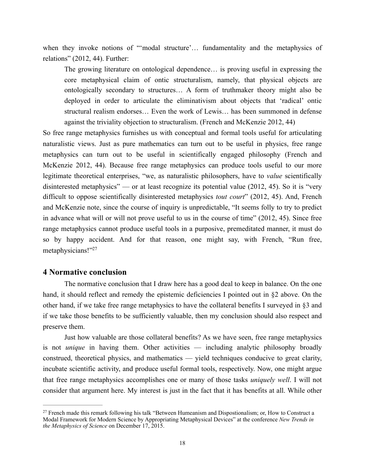when they invoke notions of "'modal structure'… fundamentality and the metaphysics of relations" (2012, 44). Further:

The growing literature on ontological dependence… is proving useful in expressing the core metaphysical claim of ontic structuralism, namely, that physical objects are ontologically secondary to structures… A form of truthmaker theory might also be deployed in order to articulate the eliminativism about objects that 'radical' ontic structural realism endorses… Even the work of Lewis… has been summoned in defense against the triviality objection to structuralism. (French and McKenzie 2012, 44)

So free range metaphysics furnishes us with conceptual and formal tools useful for articulating naturalistic views. Just as pure mathematics can turn out to be useful in physics, free range metaphysics can turn out to be useful in scientifically engaged philosophy (French and McKenzie 2012, 44). Because free range metaphysics can produce tools useful to our more legitimate theoretical enterprises, "we, as naturalistic philosophers, have to *value* scientifically disinterested metaphysics" — or at least recognize its potential value  $(2012, 45)$ . So it is "very difficult to oppose scientifically disinterested metaphysics *tout court*" (2012, 45). And, French and McKenzie note, since the course of inquiry is unpredictable, "It seems folly to try to predict in advance what will or will not prove useful to us in the course of time" (2012, 45). Since free range metaphysics cannot produce useful tools in a purposive, premeditated manner, it must do so by happy accident. And for that reason, one might say, with French, "Run free, metaphysicians!["](#page-17-0)<sup>[27](#page-17-0)</sup>

### <span id="page-17-1"></span>**4 Normative conclusion**

 The normative conclusion that I draw here has a good deal to keep in balance. On the one hand, it should reflect and remedy the epistemic deficiencies I pointed out in §2 above. On the other hand, if we take free range metaphysics to have the collateral benefits I surveyed in §3 and if we take those benefits to be sufficiently valuable, then my conclusion should also respect and preserve them.

 Just how valuable are those collateral benefits? As we have seen, free range metaphysics is not *unique* in having them. Other activities — including analytic philosophy broadly construed, theoretical physics, and mathematics — yield techniques conducive to great clarity, incubate scientific activity, and produce useful formal tools, respectively. Now, one might argue that free range metaphysics accomplishes one or many of those tasks *uniquely well*. I will not consider that argument here. My interest is just in the fact that it has benefits at all. While other

<span id="page-17-0"></span><sup>&</sup>lt;sup>27</sup>French made this remark following his talk "Between Humeanism and Dispostionalism; or, How to Construct a Modal Framework for Modern Science by Appropriating Metaphysical Devices" at the conference *New Trends in the Metaphysics of Science* on December 17, 2015.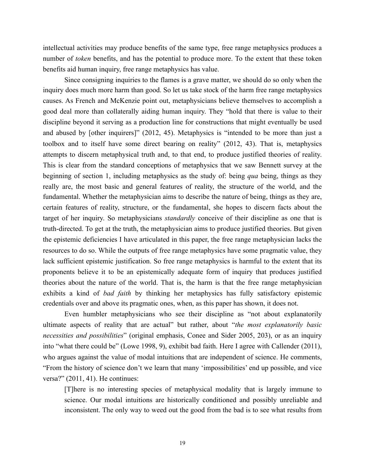intellectual activities may produce benefits of the same type, free range metaphysics produces a number of *token* benefits, and has the potential to produce more. To the extent that these token benefits aid human inquiry, free range metaphysics has value.

 Since consigning inquiries to the flames is a grave matter, we should do so only when the inquiry does much more harm than good. So let us take stock of the harm free range metaphysics causes. As French and McKenzie point out, metaphysicians believe themselves to accomplish a good deal more than collaterally aiding human inquiry. They "hold that there is value to their discipline beyond it serving as a production line for constructions that might eventually be used and abused by [other inquirers]" (2012, 45). Metaphysics is "intended to be more than just a toolbox and to itself have some direct bearing on reality" (2012, 43). That is, metaphysics attempts to discern metaphysical truth and, to that end, to produce justified theories of reality. This is clear from the standard conceptions of metaphysics that we saw Bennett survey at the beginning of section 1, including metaphysics as the study of: being *qua* being, things as they really are, the most basic and general features of reality, the structure of the world, and the fundamental. Whether the metaphysician aims to describe the nature of being, things as they are, certain features of reality, structure, or the fundamental, she hopes to discern facts about the target of her inquiry. So metaphysicians *standardly* conceive of their discipline as one that is truth-directed. To get at the truth, the metaphysician aims to produce justified theories. But given the epistemic deficiencies I have articulated in this paper, the free range metaphysician lacks the resources to do so. While the outputs of free range metaphysics have some pragmatic value, they lack sufficient epistemic justification. So free range metaphysics is harmful to the extent that its proponents believe it to be an epistemically adequate form of inquiry that produces justified theories about the nature of the world. That is, the harm is that the free range metaphysician exhibits a kind of *bad faith* by thinking her metaphysics has fully satisfactory epistemic credentials over and above its pragmatic ones, when, as this paper has shown, it does not.

 Even humbler metaphysicians who see their discipline as "not about explanatorily ultimate aspects of reality that are actual" but rather, about "*the most explanatorily basic necessities and possibilities*" (original emphasis, Conee and Sider 2005, 203), or as an inquiry into "what there could be" (Lowe 1998, 9), exhibit bad faith. Here I agree with Callender (2011), who argues against the value of modal intuitions that are independent of science. He comments, "From the history of science don't we learn that many 'impossibilities' end up possible, and vice versa?" (2011, 41). He continues:

[T]here is no interesting species of metaphysical modality that is largely immune to science. Our modal intuitions are historically conditioned and possibly unreliable and inconsistent. The only way to weed out the good from the bad is to see what results from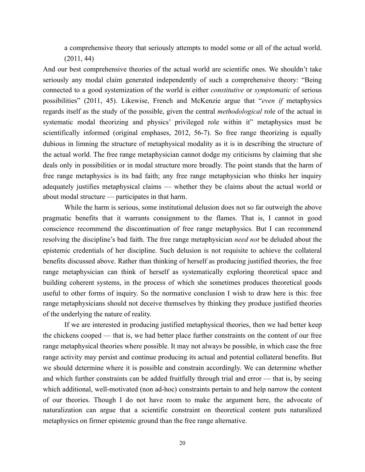a comprehensive theory that seriously attempts to model some or all of the actual world. (2011, 44)

And our best comprehensive theories of the actual world are scientific ones. We shouldn't take seriously any modal claim generated independently of such a comprehensive theory: "Being connected to a good systemization of the world is either *constitutive* or *symptomatic* of serious possibilities" (2011, 45). Likewise, French and McKenzie argue that "*even if* metaphysics regards itself as the study of the possible, given the central *methodological* role of the actual in systematic modal theorizing and physics' privileged role within it" metaphysics must be scientifically informed (original emphases, 2012, 56-7). So free range theorizing is equally dubious in limning the structure of metaphysical modality as it is in describing the structure of the actual world. The free range metaphysician cannot dodge my criticisms by claiming that she deals only in possibilities or in modal structure more broadly. The point stands that the harm of free range metaphysics is its bad faith; any free range metaphysician who thinks her inquiry adequately justifies metaphysical claims — whether they be claims about the actual world or about modal structure — participates in that harm.

 While the harm is serious, some institutional delusion does not so far outweigh the above pragmatic benefits that it warrants consignment to the flames. That is, I cannot in good conscience recommend the discontinuation of free range metaphysics. But I can recommend resolving the discipline's bad faith. The free range metaphysician *need not* be deluded about the epistemic credentials of her discipline. Such delusion is not requisite to achieve the collateral benefits discussed above. Rather than thinking of herself as producing justified theories, the free range metaphysician can think of herself as systematically exploring theoretical space and building coherent systems, in the process of which she sometimes produces theoretical goods useful to other forms of inquiry. So the normative conclusion I wish to draw here is this: free range metaphysicians should not deceive themselves by thinking they produce justified theories of the underlying the nature of reality.

 If we are interested in producing justified metaphysical theories, then we had better keep the chickens cooped — that is, we had better place further constraints on the content of our free range metaphysical theories where possible. It may not always be possible, in which case the free range activity may persist and continue producing its actual and potential collateral benefits. But we should determine where it is possible and constrain accordingly. We can determine whether and which further constraints can be added fruitfully through trial and error — that is, by seeing which additional, well-motivated (non ad-hoc) constraints pertain to and help narrow the content of our theories. Though I do not have room to make the argument here, the advocate of naturalization can argue that a scientific constraint on theoretical content puts naturalized metaphysics on firmer epistemic ground than the free range alternative.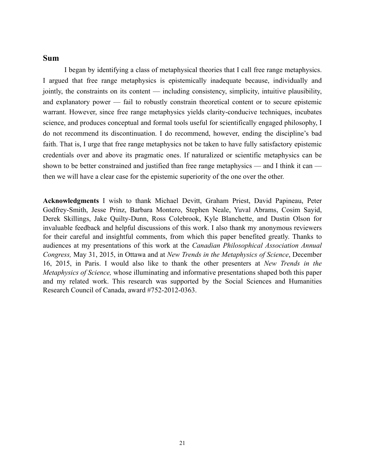### **Sum**

 I began by identifying a class of metaphysical theories that I call free range metaphysics. I argued that free range metaphysics is epistemically inadequate because, individually and jointly, the constraints on its content — including consistency, simplicity, intuitive plausibility, and explanatory power — fail to robustly constrain theoretical content or to secure epistemic warrant. However, since free range metaphysics yields clarity-conducive techniques, incubates science, and produces conceptual and formal tools useful for scientifically engaged philosophy, I do not recommend its discontinuation. I do recommend, however, ending the discipline's bad faith. That is, I urge that free range metaphysics not be taken to have fully satisfactory epistemic credentials over and above its pragmatic ones. If naturalized or scientific metaphysics can be shown to be better constrained and justified than free range metaphysics — and I think it can then we will have a clear case for the epistemic superiority of the one over the other.

**Acknowledgments** I wish to thank Michael Devitt, Graham Priest, David Papineau, Peter Godfrey-Smith, Jesse Prinz, Barbara Montero, Stephen Neale, Yuval Abrams, Cosim Sayid, Derek Skillings, Jake Quilty-Dunn, Ross Colebrook, Kyle Blanchette, and Dustin Olson for invaluable feedback and helpful discussions of this work. I also thank my anonymous reviewers for their careful and insightful comments, from which this paper benefited greatly. Thanks to audiences at my presentations of this work at the *Canadian Philosophical Association Annual Congress,* May 31, 2015, in Ottawa and at *New Trends in the Metaphysics of Science*, December 16, 2015, in Paris. I would also like to thank the other presenters at *New Trends in the Metaphysics of Science,* whose illuminating and informative presentations shaped both this paper and my related work. This research was supported by the Social Sciences and Humanities Research Council of Canada, award #752-2012-0363.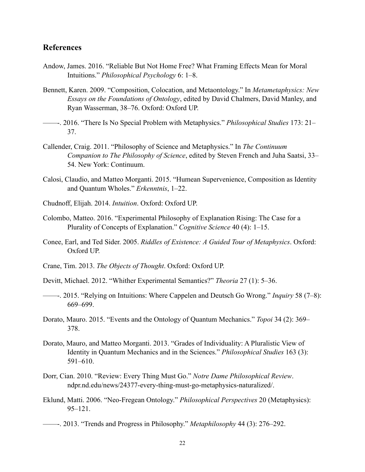### **References**

- Andow, James. 2016. "Reliable But Not Home Free? What Framing Effects Mean for Moral Intuitions." *Philosophical Psychology* 6: 1–8.
- Bennett, Karen. 2009. "Composition, Colocation, and Metaontology." In *Metametaphysics: New Essays on the Foundations of Ontology*, edited by David Chalmers, David Manley, and Ryan Wasserman, 38–76. Oxford: Oxford UP.
- ——-. 2016. "There Is No Special Problem with Metaphysics." *Philosophical Studies* 173: 21– 37.
- Callender, Craig. 2011. "Philosophy of Science and Metaphysics." In *The Continuum Companion to The Philosophy of Science*, edited by Steven French and Juha Saatsi, 33– 54. New York: Continuum.
- Calosi, Claudio, and Matteo Morganti. 2015. "Humean Supervenience, Composition as Identity and Quantum Wholes." *Erkenntnis*, 1–22.
- Chudnoff, Elijah. 2014. *Intuition*. Oxford: Oxford UP.
- Colombo, Matteo. 2016. "Experimental Philosophy of Explanation Rising: The Case for a Plurality of Concepts of Explanation." *Cognitive Science* 40 (4): 1–15.
- Conee, Earl, and Ted Sider. 2005. *Riddles of Existence: A Guided Tour of Metaphysics*. Oxford: Oxford UP.
- Crane, Tim. 2013. *The Objects of Thought*. Oxford: Oxford UP.
- Devitt, Michael. 2012. "Whither Experimental Semantics?" *Theoria* 27 (1): 5–36.
- ——-. 2015. "Relying on Intuitions: Where Cappelen and Deutsch Go Wrong." *Inquiry* 58 (7–8): 669–699.
- Dorato, Mauro. 2015. "Events and the Ontology of Quantum Mechanics." *Topoi* 34 (2): 369– 378.
- Dorato, Mauro, and Matteo Morganti. 2013. "Grades of Individuality: A Pluralistic View of Identity in Quantum Mechanics and in the Sciences." *Philosophical Studies* 163 (3): 591–610.
- Dorr, Cian. 2010. "Review: Every Thing Must Go." *Notre Dame Philosophical Review*. ndpr.nd.edu/news/24377-every-thing-must-go-metaphysics-naturalized/.
- Eklund, Matti. 2006. "Neo-Fregean Ontology." *Philosophical Perspectives* 20 (Metaphysics): 95–121.
- ——-. 2013. "Trends and Progress in Philosophy." *Metaphilosophy* 44 (3): 276–292.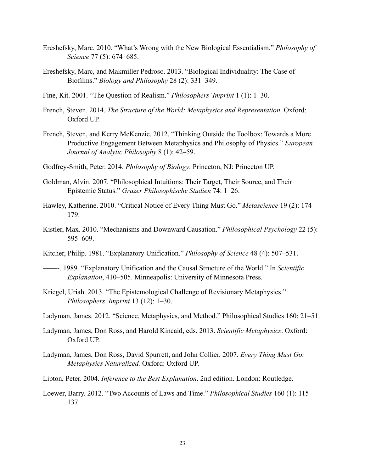- Ereshefsky, Marc. 2010. "What's Wrong with the New Biological Essentialism." *Philosophy of Science* 77 (5): 674–685.
- Ereshefsky, Marc, and Makmiller Pedroso. 2013. "Biological Individuality: The Case of Biofilms." *Biology and Philosophy* 28 (2): 331–349.
- Fine, Kit. 2001. "The Question of Realism." *Philosophers' Imprint* 1 (1): 1–30.
- French, Steven. 2014. *The Structure of the World: Metaphysics and Representation.* Oxford: Oxford UP.
- French, Steven, and Kerry McKenzie. 2012. "Thinking Outside the Toolbox: Towards a More Productive Engagement Between Metaphysics and Philosophy of Physics." *European Journal of Analytic Philosophy* 8 (1): 42–59.
- Godfrey-Smith, Peter. 2014. *Philosophy of Biology*. Princeton, NJ: Princeton UP.
- Goldman, Alvin. 2007. "Philosophical Intuitions: Their Target, Their Source, and Their Epistemic Status." *Grazer Philosophische Studien* 74: 1–26.
- Hawley, Katherine. 2010. "Critical Notice of Every Thing Must Go." *Metascience* 19 (2): 174– 179.
- Kistler, Max. 2010. "Mechanisms and Downward Causation." *Philosophical Psychology* 22 (5): 595–609.
- Kitcher, Philip. 1981. "Explanatory Unification." *Philosophy of Science* 48 (4): 507–531.
- ——-. 1989. "Explanatory Unification and the Causal Structure of the World." In *Scientific Explanation*, 410–505. Minneapolis: University of Minnesota Press.
- Kriegel, Uriah. 2013. "The Epistemological Challenge of Revisionary Metaphysics." *Philosophers' Imprint* 13 (12): 1–30.
- Ladyman, James. 2012. "Science, Metaphysics, and Method." Philosophical Studies 160: 21–51.
- Ladyman, James, Don Ross, and Harold Kincaid, eds. 2013. *Scientific Metaphysics*. Oxford: Oxford UP.
- Ladyman, James, Don Ross, David Spurrett, and John Collier. 2007. *Every Thing Must Go: Metaphysics Naturalized.* Oxford: Oxford UP.
- Lipton, Peter. 2004. *Inference to the Best Explanation*. 2nd edition. London: Routledge.
- Loewer, Barry. 2012. "Two Accounts of Laws and Time." *Philosophical Studies* 160 (1): 115– 137.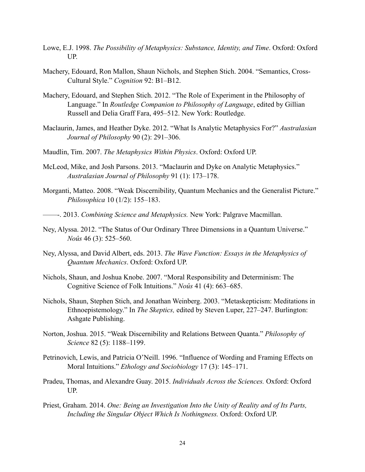- Lowe, E.J. 1998. *The Possibility of Metaphysics: Substance, Identity, and Time*. Oxford: Oxford UP.
- Machery, Edouard, Ron Mallon, Shaun Nichols, and Stephen Stich. 2004. "Semantics, Cross-Cultural Style." *Cognition* 92: B1–B12.
- Machery, Edouard, and Stephen Stich. 2012. "The Role of Experiment in the Philosophy of Language." In *Routledge Companion to Philosophy of Language*, edited by Gillian Russell and Delia Graff Fara, 495–512. New York: Routledge.
- Maclaurin, James, and Heather Dyke. 2012. "What Is Analytic Metaphysics For?" *Australasian Journal of Philosophy* 90 (2): 291–306.
- Maudlin, Tim. 2007. *The Metaphysics Within Physics*. Oxford: Oxford UP.
- McLeod, Mike, and Josh Parsons. 2013. "Maclaurin and Dyke on Analytic Metaphysics." *Australasian Journal of Philosophy* 91 (1): 173–178.
- Morganti, Matteo. 2008. "Weak Discernibility, Quantum Mechanics and the Generalist Picture." *Philosophica* 10 (1/2): 155–183.
- ——-. 2013. *Combining Science and Metaphysics.* New York: Palgrave Macmillan.
- Ney, Alyssa. 2012. "The Status of Our Ordinary Three Dimensions in a Quantum Universe." *Noûs* 46 (3): 525–560.
- Ney, Alyssa, and David Albert, eds. 2013. *The Wave Function: Essays in the Metaphysics of Quantum Mechanics*. Oxford: Oxford UP.
- Nichols, Shaun, and Joshua Knobe. 2007. "Moral Responsibility and Determinism: The Cognitive Science of Folk Intuitions." *Noûs* 41 (4): 663–685.
- Nichols, Shaun, Stephen Stich, and Jonathan Weinberg. 2003. "Metaskepticism: Meditations in Ethnoepistemology." In *The Skeptics,* edited by Steven Luper, 227–247. Burlington: Ashgate Publishing.
- Norton, Joshua. 2015. "Weak Discernibility and Relations Between Quanta." *Philosophy of Science* 82 (5): 1188–1199.
- Petrinovich, Lewis, and Patricia O'Neill. 1996. "Influence of Wording and Framing Effects on Moral Intuitions." *Ethology and Sociobiology* 17 (3): 145–171.
- Pradeu, Thomas, and Alexandre Guay. 2015. *Individuals Across the Sciences.* Oxford: Oxford UP.
- Priest, Graham. 2014. *One: Being an Investigation Into the Unity of Reality and of Its Parts, Including the Singular Object Which Is Nothingness.* Oxford: Oxford UP.